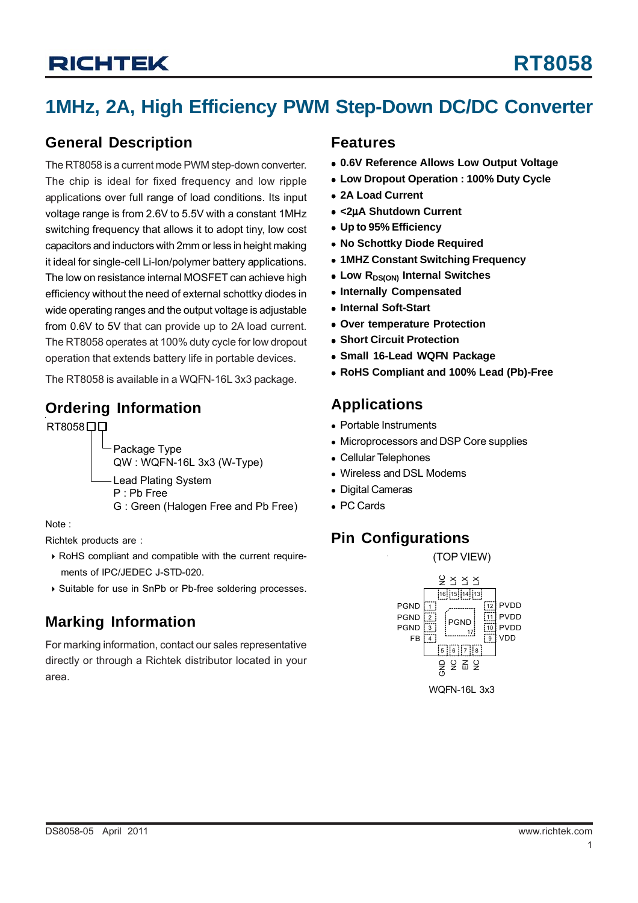## **1MHz, 2A, High Efficiency PWM Step-Down DC/DC Converter**

### **General Description**

The RT8058 is a current mode PWM step-down converter. The chip is ideal for fixed frequency and low ripple applications over full range of load conditions. Its input voltage range is from 2.6V to 5.5V with a constant 1MHz switching frequency that allows it to adopt tiny, low cost capacitors and inductors with 2mm or less in height making it ideal for single-cell Li-lon/polymer battery applications. The low on resistance internal MOSFET can achieve high efficiency without the need of external schottky diodes in wide operating ranges and the output voltage is adjustable from 0.6V to 5V that can provide up to 2A load current. The RT8058 operates at 100% duty cycle for low dropout operation that extends battery life in portable devices.

The RT8058 is available in a WQFN-16L 3x3 package.

### **Ordering Information**

RT8058<sub>DD</sub>

Package Type QW : WQFN-16L 3x3 (W-Type) Lead Plating System P : Pb Free G : Green (Halogen Free and Pb Free)

Note :

Richtek products are :

- ` RoHS compliant and compatible with the current require ments of IPC/JEDEC J-STD-020.
- ` Suitable for use in SnPb or Pb-free soldering processes.

## **Marking Information**

For marking information, contact our sales representative directly or through a Richtek distributor located in your area.

### **Features**

- <sup>z</sup> **0.6V Reference Allows Low Output Voltage**
- **Low Dropout Operation : 100% Duty Cycle**
- <sup>z</sup> **2A Load Current**
- <sup>z</sup> **<2**μ**A Shutdown Current**
- $\bullet$  **Up to 95% Efficiency**
- <sup>z</sup> **No Schottky Diode Required**
- **1MHZ Constant Switching Frequency**
- **Low RDS(ON) Internal Switches**
- **Internally Compensated**
- <sup>z</sup> **Internal Soft-Start**
- **Over temperature Protection**
- **Short Circuit Protection**
- **Small 16-Lead WQFN Package**
- <sup>z</sup> **RoHS Compliant and 100% Lead (Pb)-Free**

### **Applications**

- Portable Instruments
- Microprocessors and DSP Core supplies
- Cellular Telephones
- Wireless and DSL Modems
- Digital Cameras
- PC Cards

### **Pin Configurations**

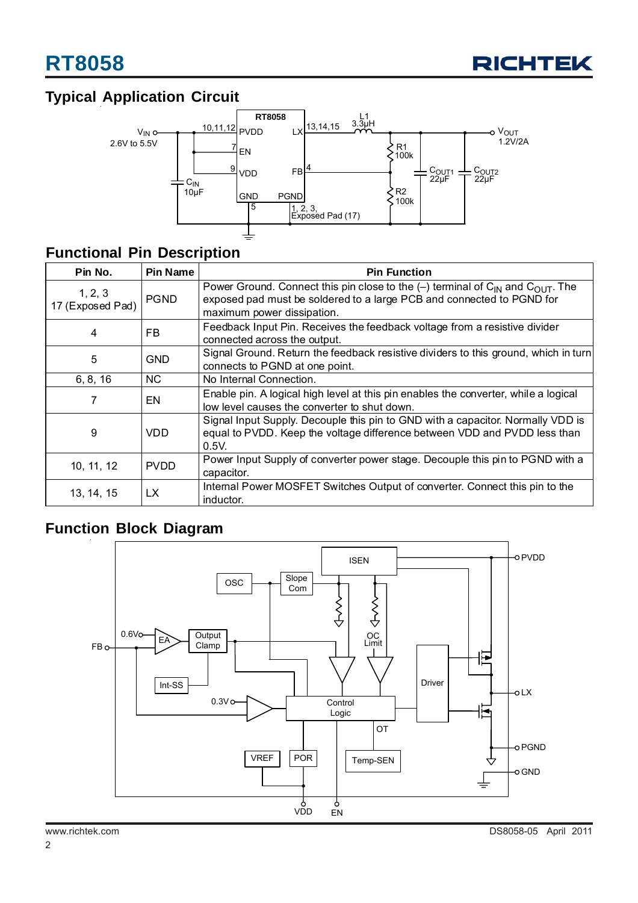

## **Typical Application Circuit**



### **Functional Pin Description**

| Pin No.                                       | <b>Pin Name</b> | <b>Pin Function</b>                                                                                                                                                                                             |  |  |
|-----------------------------------------------|-----------------|-----------------------------------------------------------------------------------------------------------------------------------------------------------------------------------------------------------------|--|--|
| 1, 2, 3<br>17 (Exposed Pad)                   | <b>PGND</b>     | Power Ground. Connect this pin close to the $(-)$ terminal of C <sub>IN</sub> and C <sub>OUT</sub> . The<br>exposed pad must be soldered to a large PCB and connected to PGND for<br>maximum power dissipation. |  |  |
| FB<br>4                                       |                 | Feedback Input Pin. Receives the feedback voltage from a resistive divider<br>connected across the output.                                                                                                      |  |  |
| 5<br><b>GND</b>                               |                 | Signal Ground. Return the feedback resistive dividers to this ground, which in turn<br>connects to PGND at one point.                                                                                           |  |  |
| 6, 8, 16                                      | <b>NC</b>       | No Internal Connection.                                                                                                                                                                                         |  |  |
| 7<br>EN                                       |                 | Enable pin. A logical high level at this pin enables the converter, while a logical<br>low level causes the converter to shut down.                                                                             |  |  |
| 9<br>VDD                                      |                 | Signal Input Supply. Decouple this pin to GND with a capacitor. Normally VDD is<br>equal to PVDD. Keep the voltage difference between VDD and PVDD less than<br>0.5V.                                           |  |  |
| 10, 11, 12<br><b>PVDD</b><br>LX<br>13, 14, 15 |                 | Power Input Supply of converter power stage. Decouple this pin to PGND with a<br>capacitor.                                                                                                                     |  |  |
|                                               |                 | Internal Power MOSFET Switches Output of converter. Connect this pin to the<br>inductor.                                                                                                                        |  |  |

## **Function Block Diagram**

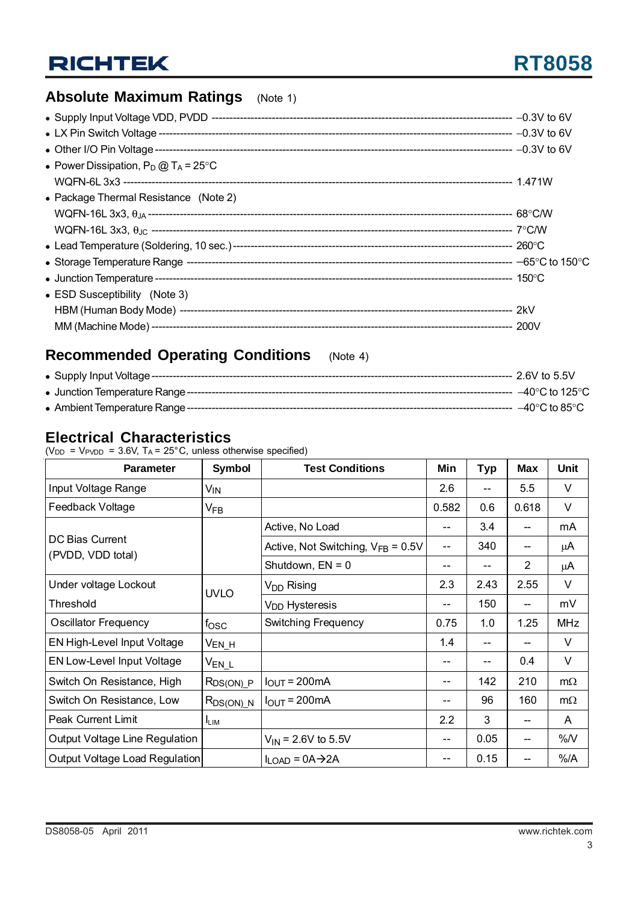# **RT8058**

## **Absolute Maximum Ratings** (Note 1)

| • Power Dissipation, $P_D @ T_A = 25^{\circ}C$ |  |
|------------------------------------------------|--|
|                                                |  |
| • Package Thermal Resistance (Note 2)          |  |
|                                                |  |
|                                                |  |
|                                                |  |
|                                                |  |
|                                                |  |
| • ESD Susceptibility (Note 3)                  |  |
|                                                |  |
|                                                |  |

## **Recommended Operating Conditions** (Note 4)

|  | –40°C to 125°C                     |  |
|--|------------------------------------|--|
|  | $-40^{\circ}$ C to 85 $^{\circ}$ C |  |

### **Electrical Characteristics**

( $V_{DD}$  =  $V_{PVDD}$  = 3.6V,  $T_A$  = 25°C, unless otherwise specified)

| <b>Parameter</b>                     | Symbol                     | <b>Test Conditions</b>                 | Min   | <b>Typ</b> | <b>Max</b>     | <b>Unit</b> |
|--------------------------------------|----------------------------|----------------------------------------|-------|------------|----------------|-------------|
| Input Voltage Range                  | V <sub>IN</sub>            |                                        | 2.6   |            | 5.5            | $\vee$      |
| Feedback Voltage                     | $\mathsf{V}_{\mathsf{FB}}$ |                                        | 0.582 | 0.6        | 0.618          | $\vee$      |
|                                      |                            | Active, No Load                        | --    | 3.4        | --             | mA          |
| DC Bias Current<br>(PVDD, VDD total) |                            | Active, Not Switching, $V_{FB} = 0.5V$ | $- -$ | 340        |                | μA          |
|                                      |                            | Shutdown, $EN = 0$                     | --    | $- -$      | $\overline{2}$ | μA          |
| Under voltage Lockout                | <b>UVLO</b>                | V <sub>DD</sub> Rising                 | 2.3   | 2.43       | 2.55           | $\vee$      |
| Threshold                            |                            | V <sub>DD</sub> Hysteresis             | --    | 150        |                | mV          |
| <b>Oscillator Frequency</b>          | fosc                       | Switching Frequency                    | 0.75  | 1.0        | 1.25           | <b>MHz</b>  |
| EN High-Level Input Voltage          | V <sub>EN_H</sub>          |                                        | 1.4   | $-$        |                | $\vee$      |
| EN Low-Level Input Voltage           | $V_{EN\_L}$                |                                        |       |            | 0.4            | V           |
| Switch On Resistance, High           | $R_{DS(ON)_P}$             | $I_{OUT} = 200mA$                      | --    | 142        | 210            | $m\Omega$   |
| Switch On Resistance, Low            | $R_{DS(ON)}$ N             | $I_{OUT} = 200mA$                      | --    | 96         | 160            | $m\Omega$   |
| <b>Peak Current Limit</b>            | $I_{LIM}$                  |                                        | 2.2   | 3          |                | A           |
| Output Voltage Line Regulation       |                            | $V_{IN}$ = 2.6V to 5.5V                | --    | 0.05       |                | %N          |
| Output Voltage Load Regulation       |                            | $I_{LOAD} = 0A \rightarrow 2A$         | --    | 0.15       | --             | $%$ /A      |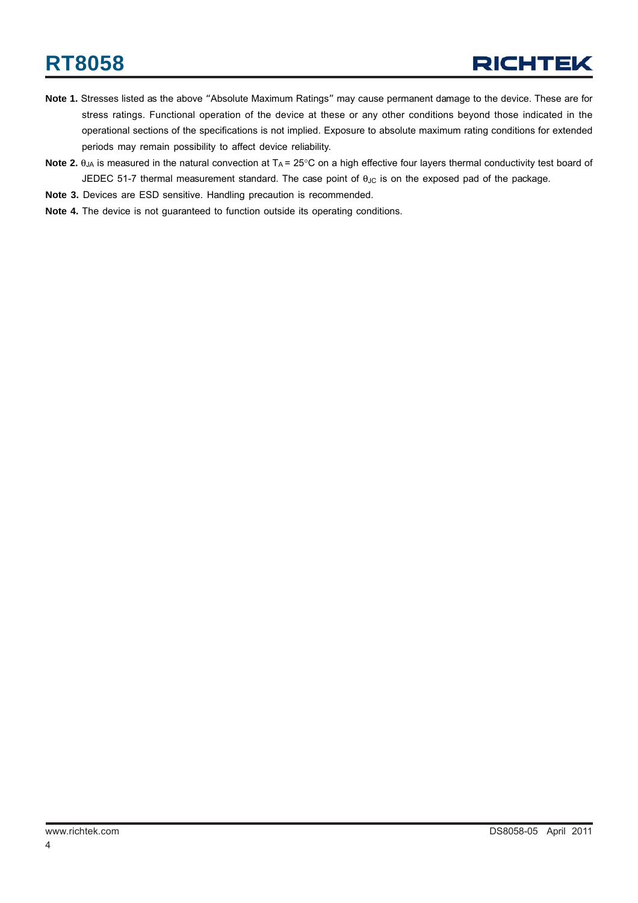- **Note 1.** Stresses listed as the above "Absolute Maximum Ratings" may cause permanent damage to the device. These are for stress ratings. Functional operation of the device at these or any other conditions beyond those indicated in the operational sections of the specifications is not implied. Exposure to absolute maximum rating conditions for extended periods may remain possibility to affect device reliability.
- Note 2. θ<sub>JA</sub> is measured in the natural convection at T<sub>A</sub> = 25°C on a high effective four layers thermal conductivity test board of JEDEC 51-7 thermal measurement standard. The case point of θ<sub>JC</sub> is on the exposed pad of the package.
- **Note 3.** Devices are ESD sensitive. Handling precaution is recommended.
- **Note 4.** The device is not guaranteed to function outside its operating conditions.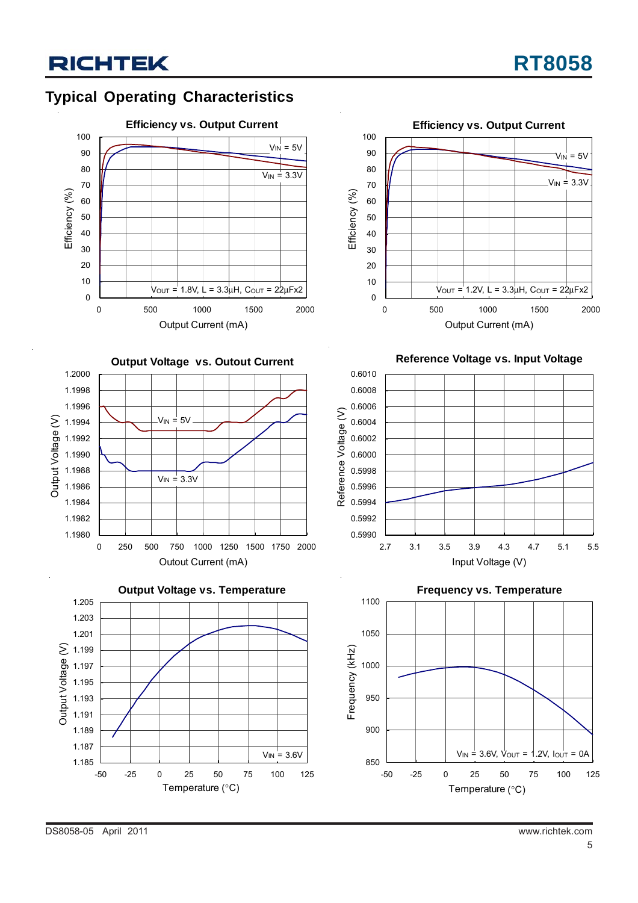## **Typical Operating Characteristics**









**Reference Voltage vs. Input Voltage**





DS8058-05 April 2011 www.richtek.com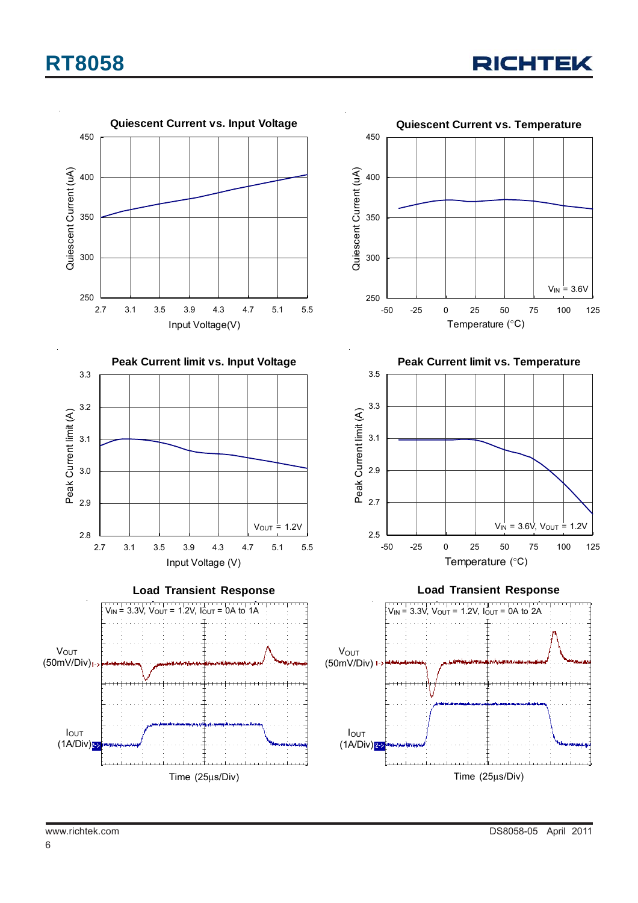

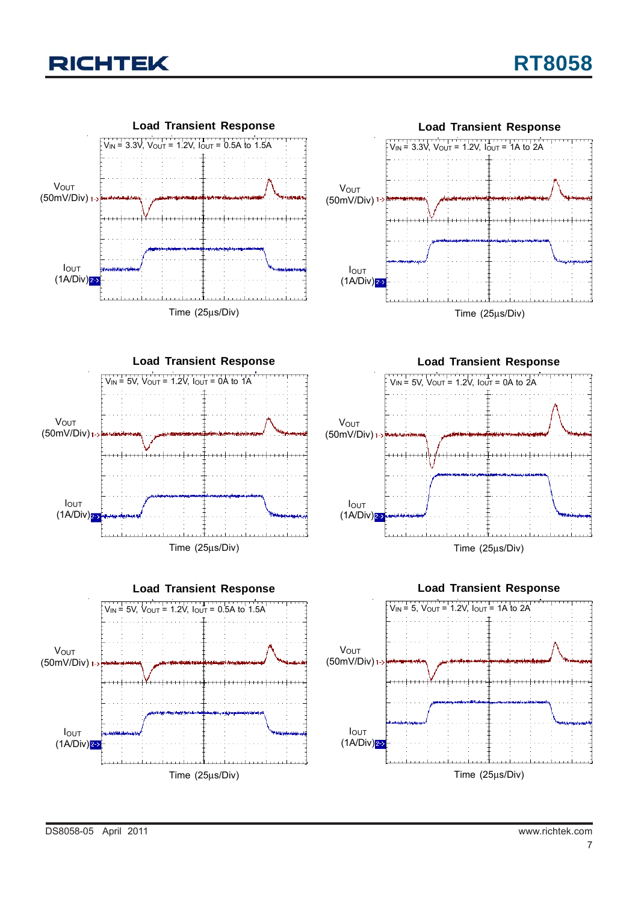

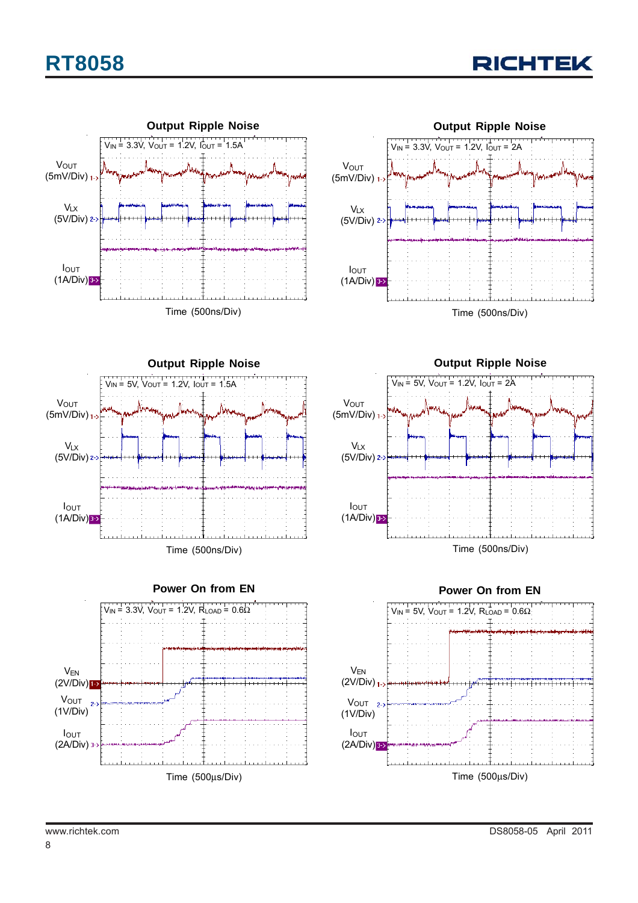

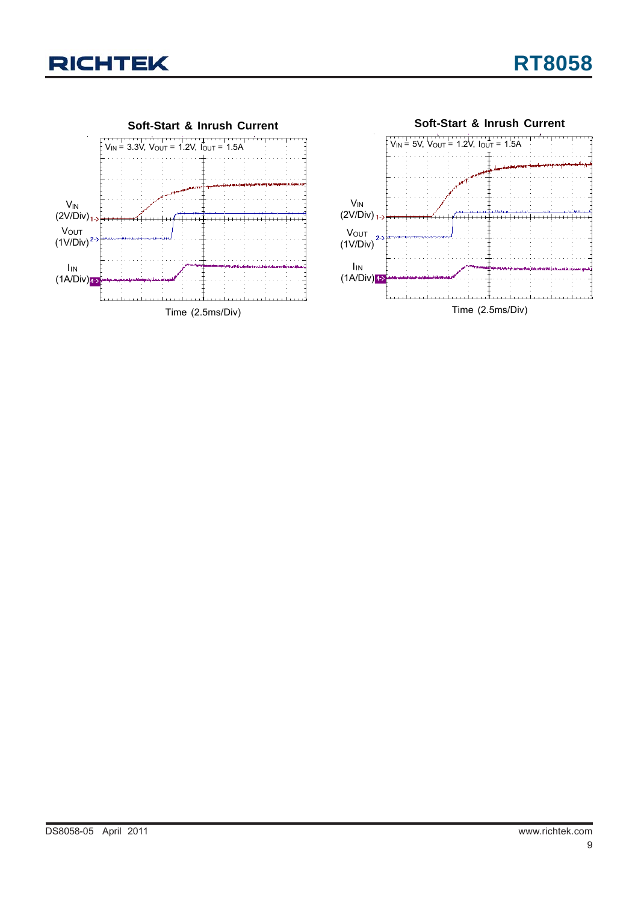

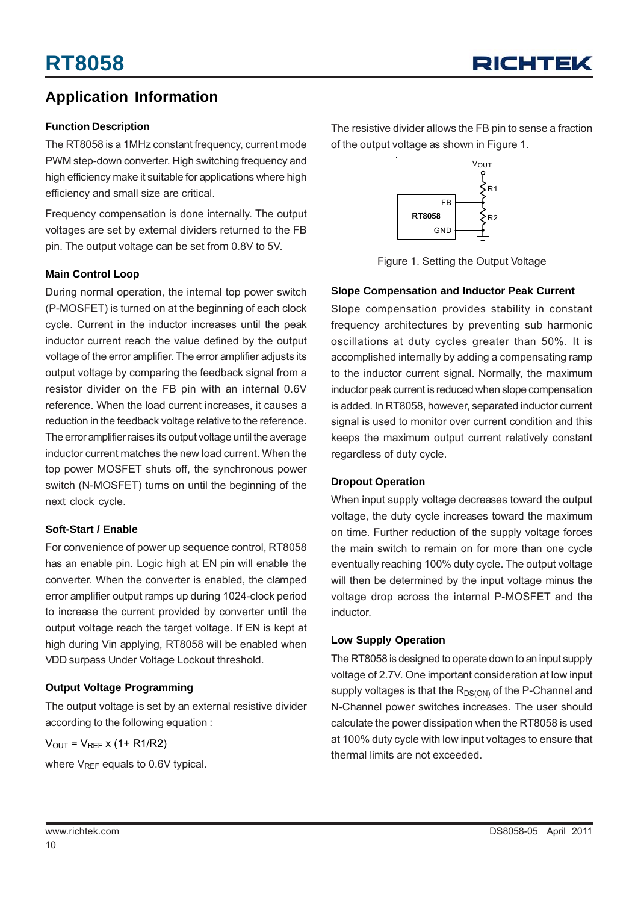### **Application Information**

#### **Function Description**

The RT8058 is a 1MHz constant frequency, current mode PWM step-down converter. High switching frequency and high efficiency make it suitable for applications where high efficiency and small size are critical.

Frequency compensation is done internally. The output voltages are set by external dividers returned to the FB pin. The output voltage can be set from 0.8V to 5V.

#### **Main Control Loop**

During normal operation, the internal top power switch (P-MOSFET) is turned on at the beginning of each clock cycle. Current in the inductor increases until the peak inductor current reach the value defined by the output voltage of the error amplifier. The error amplifier adjusts its output voltage by comparing the feedback signal from a resistor divider on the FB pin with an internal 0.6V reference. When the load current increases, it causes a reduction in the feedback voltage relative to the reference. The error amplifier raises its output voltage until the average inductor current matches the new load current. When the top power MOSFET shuts off, the synchronous power switch (N-MOSFET) turns on until the beginning of the next clock cycle.

#### **Soft-Start / Enable**

For convenience of power up sequence control, RT8058 has an enable pin. Logic high at EN pin will enable the converter. When the converter is enabled, the clamped error amplifier output ramps up during 1024-clock period to increase the current provided by converter until the output voltage reach the target voltage. If EN is kept at high during Vin applying, RT8058 will be enabled when VDD surpass Under Voltage Lockout threshold.

### **Output Voltage Programming**

The output voltage is set by an external resistive divider according to the following equation :

 $V_{OUT} = V_{REF}$  x (1+ R1/R2)

where  $V_{REF}$  equals to 0.6V typical.

The resistive divider allows the FB pin to sense a fraction of the output voltage as shown in Figure 1.



Figure 1. Setting the Output Voltage

### **Slope Compensation and Inductor Peak Current**

Slope compensation provides stability in constant frequency architectures by preventing sub harmonic oscillations at duty cycles greater than 50%. It is accomplished internally by adding a compensating ramp to the inductor current signal. Normally, the maximum inductor peak current is reduced when slope compensation is added. In RT8058, however, separated inductor current signal is used to monitor over current condition and this keeps the maximum output current relatively constant regardless of duty cycle.

#### **Dropout Operation**

When input supply voltage decreases toward the output voltage, the duty cycle increases toward the maximum on time. Further reduction of the supply voltage forces the main switch to remain on for more than one cycle eventually reaching 100% duty cycle. The output voltage will then be determined by the input voltage minus the voltage drop across the internal P-MOSFET and the inductor.

#### **Low Supply Operation**

The RT8058 is designed to operate down to an input supply voltage of 2.7V. One important consideration at low input supply voltages is that the  $R_{DS(ON)}$  of the P-Channel and N-Channel power switches increases. The user should calculate the power dissipation when the RT8058 is used at 100% duty cycle with low input voltages to ensure that thermal limits are not exceeded.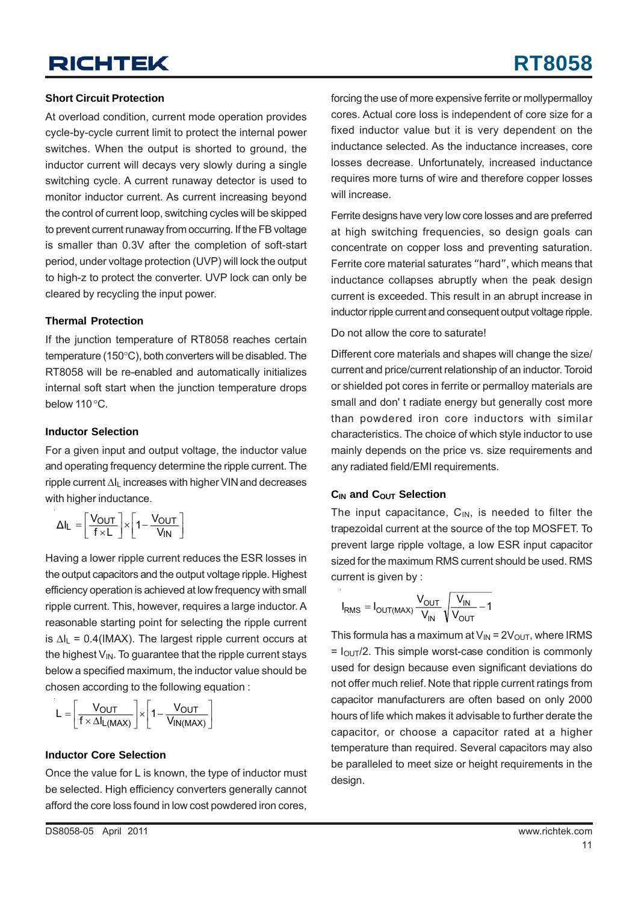# **RT8058**

### **Short Circuit Protection**

At overload condition, current mode operation provides cycle-by-cycle current limit to protect the internal power switches. When the output is shorted to ground, the inductor current will decays very slowly during a single switching cycle. A current runaway detector is used to monitor inductor current. As current increasing beyond the control of current loop, switching cycles will be skipped to prevent current runaway from occurring. If the FB voltage is smaller than 0.3V after the completion of soft-start period, under voltage protection (UVP) will lock the output to high-z to protect the converter. UVP lock can only be cleared by recycling the input power.

#### **Thermal Protection**

If the junction temperature of RT8058 reaches certain temperature (150°C), both converters will be disabled. The RT8058 will be re-enabled and automatically initializes internal soft start when the junction temperature drops below 110°C.

### **Inductor Selection**

For a given input and output voltage, the inductor value and operating frequency determine the ripple current. The ripple current ΔIL increases with higher VIN and decreases with higher inductance.

$$
\Delta I_L = \left[\frac{V_{OUT}}{f \times L}\right] \times \left[1 - \frac{V_{OUT}}{V_{IN}}\right]
$$

Having a lower ripple current reduces the ESR losses in the output capacitors and the output voltage ripple. Highest efficiency operation is achieved at low frequency with small ripple current. This, however, requires a large inductor. A reasonable starting point for selecting the ripple current is  $\Delta I_L$  = 0.4(IMAX). The largest ripple current occurs at the highest  $V_{\text{IN}}$ . To guarantee that the ripple current stays below a specified maximum, the inductor value should be chosen according to the following equation :

$$
L = \left[\frac{V_{OUT}}{f \times \Delta I_{L(MAX)}}\right] \times \left[1 - \frac{V_{OUT}}{V_{IN(MAX)}}\right]
$$

### **Inductor Core Selection**

Once the value for L is known, the type of inductor must be selected. High efficiency converters generally cannot afford the core loss found in low cost powdered iron cores,

forcing the use of more expensive ferrite or mollypermalloy cores. Actual core loss is independent of core size for a fixed inductor value but it is very dependent on the inductance selected. As the inductance increases, core losses decrease. Unfortunately, increased inductance requires more turns of wire and therefore copper losses will increase.

Ferrite designs have very low core losses and are preferred at high switching frequencies, so design goals can concentrate on copper loss and preventing saturation. Ferrite core material saturates "hard", which means that inductance collapses abruptly when the peak design current is exceeded. This result in an abrupt increase in inductor ripple current and consequent output voltage ripple.

Do not allow the core to saturate!

Different core materials and shapes will change the size/ current and price/current relationship of an inductor. Toroid or shielded pot cores in ferrite or permalloy materials are small and don' t radiate energy but generally cost more than powdered iron core inductors with similar characteristics. The choice of which style inductor to use mainly depends on the price vs. size requirements and any radiated field/EMI requirements.

### **C<sub>IN</sub>** and C<sub>OUT</sub> Selection

The input capacitance,  $C_{IN}$ , is needed to filter the trapezoidal current at the source of the top MOSFET. To prevent large ripple voltage, a low ESR input capacitor sized for the maximum RMS current should be used. RMS current is given by :

$$
I_{RMS} = I_{OUT(MAX)} \frac{V_{OUT}}{V_{IN}} \sqrt{\frac{V_{IN}}{V_{OUT}} - 1}
$$

This formula has a maximum at  $V_{IN} = 2V_{OUT}$ , where IRMS  $= I_{\text{OUT}}/2$ . This simple worst-case condition is commonly used for design because even significant deviations do not offer much relief. Note that ripple current ratings from capacitor manufacturers are often based on only 2000 hours of life which makes it advisable to further derate the capacitor, or choose a capacitor rated at a higher temperature than required. Several capacitors may also be paralleled to meet size or height requirements in the design.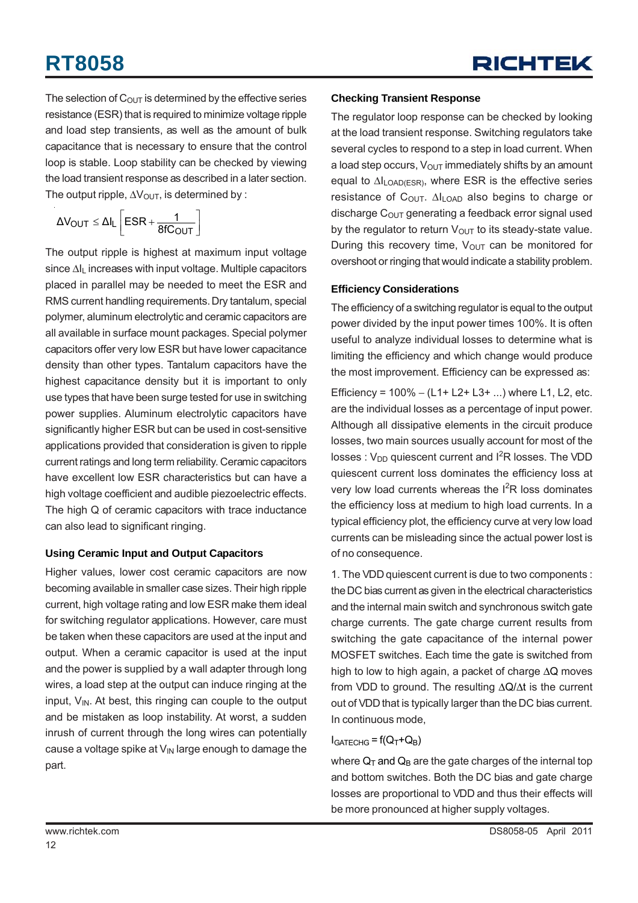The selection of  $C_{\text{OUT}}$  is determined by the effective series resistance (ESR) that is required to minimize voltage ripple and load step transients, as well as the amount of bulk capacitance that is necessary to ensure that the control loop is stable. Loop stability can be checked by viewing the load transient response as described in a later section. The output ripple,  $\Delta V_{\text{OUT}}$ , is determined by :

$$
\Delta V_{OUT} \leq \Delta I_L \left[ESR + \frac{1}{8fC_{OUT}}\right]
$$

The output ripple is highest at maximum input voltage since  $\Delta I_L$  increases with input voltage. Multiple capacitors placed in parallel may be needed to meet the ESR and RMS current handling requirements. Dry tantalum, special polymer, aluminum electrolytic and ceramic capacitors are all available in surface mount packages. Special polymer capacitors offer very low ESR but have lower capacitance density than other types. Tantalum capacitors have the highest capacitance density but it is important to only use types that have been surge tested for use in switching power supplies. Aluminum electrolytic capacitors have significantly higher ESR but can be used in cost-sensitive applications provided that consideration is given to ripple current ratings and long term reliability. Ceramic capacitors have excellent low ESR characteristics but can have a high voltage coefficient and audible piezoelectric effects. The high Q of ceramic capacitors with trace inductance can also lead to significant ringing.

### **Using Ceramic Input and Output Capacitors**

Higher values, lower cost ceramic capacitors are now becoming available in smaller case sizes. Their high ripple current, high voltage rating and low ESR make them ideal for switching regulator applications. However, care must be taken when these capacitors are used at the input and output. When a ceramic capacitor is used at the input and the power is supplied by a wall adapter through long wires, a load step at the output can induce ringing at the input,  $V_{IN}$ . At best, this ringing can couple to the output and be mistaken as loop instability. At worst, a sudden inrush of current through the long wires can potentially cause a voltage spike at  $V_{\text{IN}}$  large enough to damage the part.

### **Checking Transient Response**

The regulator loop response can be checked by looking at the load transient response. Switching regulators take several cycles to respond to a step in load current. When a load step occurs,  $V_{\text{OUT}}$  immediately shifts by an amount equal to ΔILOAD(ESR), where ESR is the effective series resistance of  $C<sub>OUT</sub>$ .  $\Delta I<sub>LOAD</sub>$  also begins to charge or discharge  $C<sub>OUT</sub>$  generating a feedback error signal used by the regulator to return  $V_{\text{OUT}}$  to its steady-state value. During this recovery time,  $V_{\text{OUT}}$  can be monitored for overshoot or ringing that would indicate a stability problem.

### **Efficiency Considerations**

The efficiency of a switching regulator is equal to the output power divided by the input power times 100%. It is often useful to analyze individual losses to determine what is limiting the efficiency and which change would produce the most improvement. Efficiency can be expressed as:

Efficiency =  $100\% - (L1 + L2 + L3 + ...)$  where L1, L2, etc. are the individual losses as a percentage of input power. Although all dissipative elements in the circuit produce losses, two main sources usually account for most of the  $losses: V_{DD}$  quiescent current and  $I<sup>2</sup>R$  losses. The VDD quiescent current loss dominates the efficiency loss at very low load currents whereas the I<sup>2</sup>R loss dominates the efficiency loss at medium to high load currents. In a typical efficiency plot, the efficiency curve at very low load currents can be misleading since the actual power lost is of no consequence.

1. The VDD quiescent current is due to two components : the DC bias current as given in the electrical characteristics and the internal main switch and synchronous switch gate charge currents. The gate charge current results from switching the gate capacitance of the internal power MOSFET switches. Each time the gate is switched from high to low to high again, a packet of charge ΔQ moves from VDD to ground. The resulting ΔQ/Δt is the current out of VDD that is typically larger than the DC bias current. In continuous mode,

### $I<sub>GATECHG</sub> = f(Q<sub>T</sub>+Q<sub>B</sub>)$

where  $Q_T$  and  $Q_B$  are the gate charges of the internal top and bottom switches. Both the DC bias and gate charge losses are proportional to VDD and thus their effects will be more pronounced at higher supply voltages.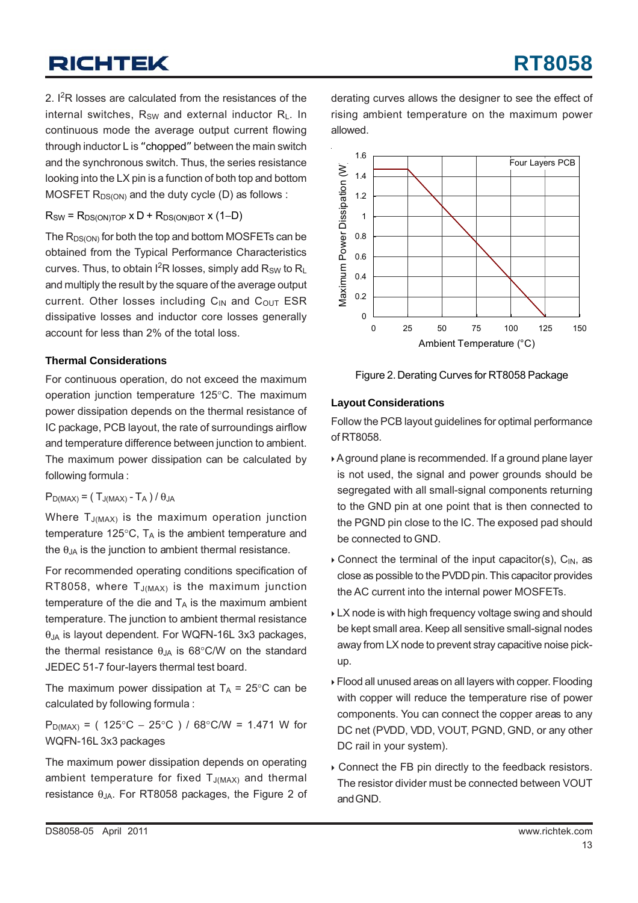2.  $I^2R$  losses are calculated from the resistances of the internal switches.  $R_{SW}$  and external inductor  $R_L$ . In continuous mode the average output current flowing through inductor L is "chopped" between the main switch and the synchronous switch. Thus, the series resistance looking into the LX pin is a function of both top and bottom MOSFET  $R_{DS(ON)}$  and the duty cycle (D) as follows :

#### $R_{SW}$  =  $R_{DS(ON)TOP}$  x D +  $R_{DS(ON)BOT}$  x (1–D)

The  $R_{DS(ON)}$  for both the top and bottom MOSFETs can be obtained from the Typical Performance Characteristics curves. Thus, to obtain  $I^2R$  losses, simply add  $R_{SW}$  to  $R_L$ and multiply the result by the square of the average output current. Other losses including  $C_{IN}$  and  $C_{OUT}$  ESR dissipative losses and inductor core losses generally account for less than 2% of the total loss.

#### **Thermal Considerations**

For continuous operation, do not exceed the maximum operation junction temperature 125°C. The maximum power dissipation depends on the thermal resistance of IC package, PCB layout, the rate of surroundings airflow and temperature difference between junction to ambient. The maximum power dissipation can be calculated by following formula :

#### $P_{D(MAX)} = (T_{J(MAX)} - T_A) / \theta_{JA}$

Where  $T_{J(MAX)}$  is the maximum operation junction temperature 125 $\degree$ C, T<sub>A</sub> is the ambient temperature and the  $\theta_{JA}$  is the junction to ambient thermal resistance.

For recommended operating conditions specification of RT8058, where  $T_{J(MAX)}$  is the maximum junction temperature of the die and  $T_A$  is the maximum ambient temperature. The junction to ambient thermal resistance θJA is layout dependent. For WQFN-16L 3x3 packages, the thermal resistance  $θ_{JA}$  is 68°C/W on the standard JEDEC 51-7 four-layers thermal test board.

The maximum power dissipation at  $T_A = 25^{\circ}$ C can be calculated by following formula :

P<sub>D(MAX)</sub> = ( 125°C − 25°C ) / 68°C/W = 1.471 W for WQFN-16L 3x3 packages

The maximum power dissipation depends on operating ambient temperature for fixed  $T_{J(MAX)}$  and thermal resistance  $\theta$ <sub>JA</sub>. For RT8058 packages, the Figure 2 of derating curves allows the designer to see the effect of rising ambient temperature on the maximum power allowed.



Figure 2. Derating Curves for RT8058 Package

#### **Layout Considerations**

Follow the PCB layout guidelines for optimal performance of RT8058.

- ` A ground plane is recommended. If a ground plane layer is not used, the signal and power grounds should be segregated with all small-signal components returning to the GND pin at one point that is then connected to the PGND pin close to the IC. The exposed pad should be connected to GND.
- $\triangleright$  Connect the terminal of the input capacitor(s), C<sub>IN</sub>, as close as possible to the PVDD pin. This capacitor provides the AC current into the internal power MOSFETs.
- **LX node is with high frequency voltage swing and should** be kept small area. Keep all sensitive small-signal nodes away from LX node to prevent stray capacitive noise pickup.
- ` Flood all unused areas on all layers with copper. Flooding with copper will reduce the temperature rise of power components. You can connect the copper areas to any DC net (PVDD, VDD, VOUT, PGND, GND, or any other DC rail in your system).
- ` Connect the FB pin directly to the feedback resistors. The resistor divider must be connected between VOUT and GND.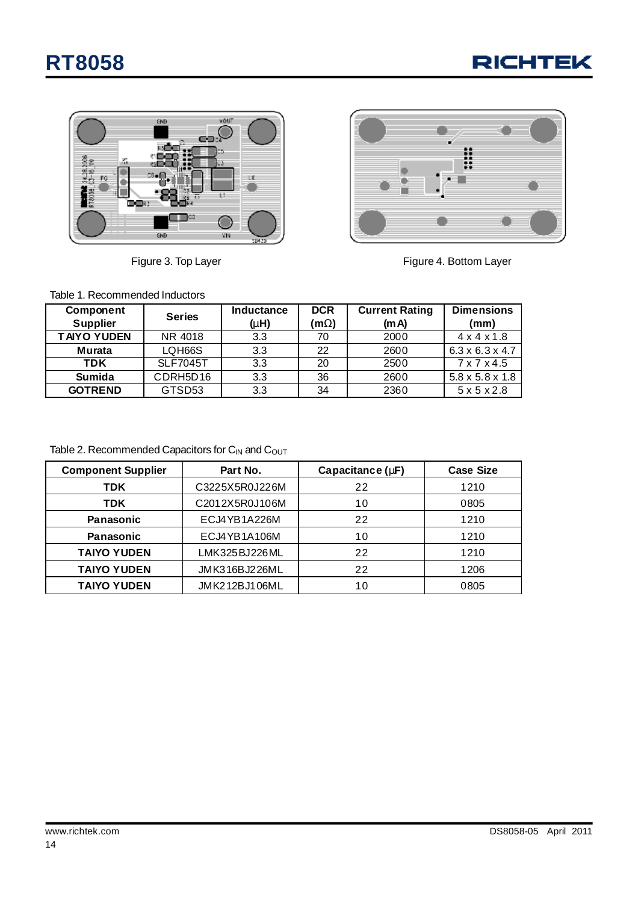**RICHTEK** 





Figure 3. Top Layer **Figure 4. Bottom Layer** Figure 4. Bottom Layer

Table 1. Recommended Inductors

| <b>Component</b>   | <b>Series</b>   | <b>Inductance</b> | <b>DCR</b> | <b>Current Rating</b> | <b>Dimensions</b>           |
|--------------------|-----------------|-------------------|------------|-----------------------|-----------------------------|
| <b>Supplier</b>    |                 | (mH)              | (mW)       | (mA)                  | (mm)                        |
| <b>TAIYO YUDEN</b> | NR 4018         | 3.3               | 70         | 2000                  | $4 \times 4 \times 1.8$     |
| Murata             | LQH66S          | 3.3               | 22         | 2600                  | $6.3 \times 6.3 \times 4.7$ |
| <b>TDK</b>         | <b>SLF7045T</b> | 3.3               | 20         | 2500                  | $7 \times 7 \times 4.5$     |
| <b>Sumida</b>      | CDRH5D16        | 3.3               | 36         | 2600                  | $5.8 \times 5.8 \times 1.8$ |
| <b>GOTREND</b>     | GTSD53          | 3.3               | 34         | 2360                  | $5 \times 5 \times 2.8$     |

Table 2. Recommended Capacitors for  $C_{IN}$  and  $C_{OUT}$ 

| <b>Component Supplier</b> | Part No.       | Capacitance (mF) | <b>Case Size</b> |  |
|---------------------------|----------------|------------------|------------------|--|
| TDK                       | C3225X5R0J226M | 22               | 1210             |  |
| <b>TDK</b>                | C2012X5R0J106M | 10               | 0805             |  |
| <b>Panasonic</b>          | ECJ4YB1A226M   | 22               | 1210             |  |
| <b>Panasonic</b>          | ECJ4YB1A106M   | 10               | 1210             |  |
| <b>TAIYO YUDEN</b>        | LMK325BJ226ML  | 22               | 1210             |  |
| <b>TAIYO YUDEN</b>        | JMK316BJ226ML  | 22               | 1206             |  |
| <b>TAIYO YUDEN</b>        | JMK212BJ106ML  | 10               | 0805             |  |